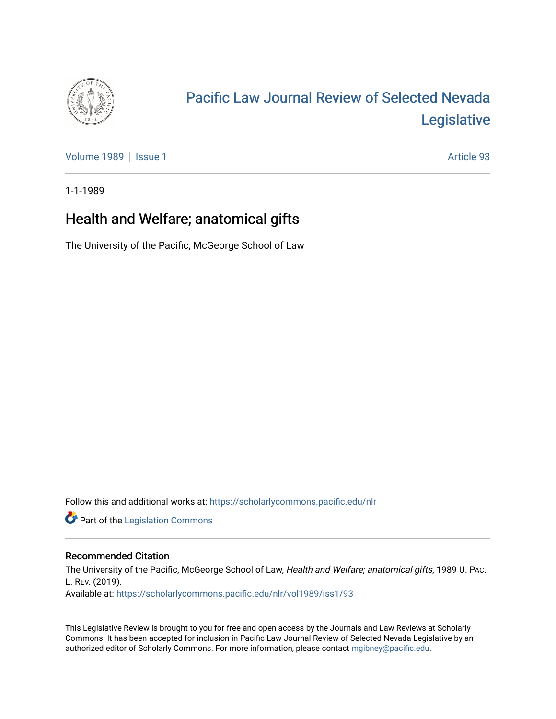

# [Pacific Law Journal Review of Selected Nevada](https://scholarlycommons.pacific.edu/nlr)  [Legislative](https://scholarlycommons.pacific.edu/nlr)

[Volume 1989](https://scholarlycommons.pacific.edu/nlr/vol1989) | [Issue 1](https://scholarlycommons.pacific.edu/nlr/vol1989/iss1) Article 93

1-1-1989

## Health and Welfare; anatomical gifts

The University of the Pacific, McGeorge School of Law

Follow this and additional works at: [https://scholarlycommons.pacific.edu/nlr](https://scholarlycommons.pacific.edu/nlr?utm_source=scholarlycommons.pacific.edu%2Fnlr%2Fvol1989%2Fiss1%2F93&utm_medium=PDF&utm_campaign=PDFCoverPages) 

**Part of the [Legislation Commons](http://network.bepress.com/hgg/discipline/859?utm_source=scholarlycommons.pacific.edu%2Fnlr%2Fvol1989%2Fiss1%2F93&utm_medium=PDF&utm_campaign=PDFCoverPages)** 

### Recommended Citation

The University of the Pacific, McGeorge School of Law, Health and Welfare; anatomical gifts, 1989 U. PAC. L. REV. (2019). Available at: [https://scholarlycommons.pacific.edu/nlr/vol1989/iss1/93](https://scholarlycommons.pacific.edu/nlr/vol1989/iss1/93?utm_source=scholarlycommons.pacific.edu%2Fnlr%2Fvol1989%2Fiss1%2F93&utm_medium=PDF&utm_campaign=PDFCoverPages)

This Legislative Review is brought to you for free and open access by the Journals and Law Reviews at Scholarly Commons. It has been accepted for inclusion in Pacific Law Journal Review of Selected Nevada Legislative by an authorized editor of Scholarly Commons. For more information, please contact [mgibney@pacific.edu](mailto:mgibney@pacific.edu).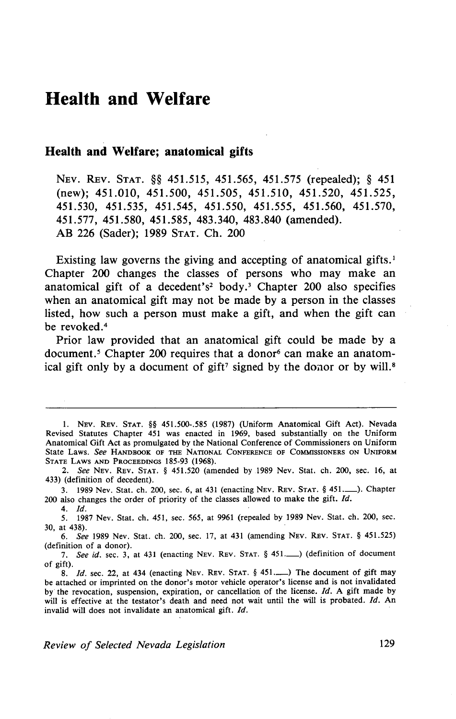### **Health and Welfare**

#### **Health and Welfare; anatomical gifts**

NEv. REv. STAT. §§ 451.515, 451.565, 451.575 (repealed); § 451 (new); 451.010, 451.500, 451.505, 451.510, 451.520, 451.525, 451.530, 451.535, 451.545, 451.550, 451.555, 451.560, 451.570, 451.577, 451.580, 451.585, 483.340, 483.840 (amended). AB 226 (Sader); 1989 STAT. Ch. 200

Existing law governs the giving and accepting of anatomical gifts.<sup>1</sup> Chapter 200 changes the classes of persons who may make an anatomical gift of a decedent's<sup>2</sup> body.<sup>3</sup> Chapter 200 also specifies when an anatomical gift may not be made by a person in the classes listed, how such a person must make a gift, and when the gift can be revoked.<sup>4</sup>

Prior law provided that an anatomical gift could be made by a document.<sup>5</sup> Chapter 200 requires that a donor<sup>6</sup> can make an anatomical gift only by a document of gift<sup>7</sup> signed by the donor or by will.<sup>8</sup>

I. NEV. REv. STAT. §§ 451.500-.585 (1987) (Uniform Anatomical Gift Act). Nevada Revised Statutes Chapter 451 was enacted in 1969, based substantially on the Uniform Anatomical Gift Act as promulgated by the National Conference of Commissioners on Uniform State Laws. *See* HANDBOOK OF THE NATIONAL CONFERENCE OF COMMISSIONERS ON UNIFORM STATE LAWS AND PROCEEDINGS 185-93 (1968).

<sup>2.</sup> *See* NEV. REv. STAT. § 451.520 (amended by 1989 Nev. Stat. ch. 200, sec. 16, at 433) (definition of decedent).

<sup>3. 1989</sup> Nev. Stat. ch. 200, sec. 6, at 431 (enacting NEv. REV. STAT. § 451.\_). Chapter 200 also changes the order of priority of the classes allowed to make the gift. *Id.* 

<sup>4.</sup> *Id.* 

*<sup>5.</sup>* 1987 Nev. Stat. ch. 451, sec. 565, at 9961 (repealed by 1989 Nev. Stat. ch. 200, sec. 30, at 438).

<sup>6.</sup> *See* 1989 Nev. Stat. ch. 200, sec. 17, at 431 (amending NEv. REv. STAT. § 451.525) (definition of a donor).

<sup>7.</sup> *See id.* sec. 3, at 431 (enacting NEv. REv. STAT. § 451.\_) (definition of document of gift).

<sup>8.</sup> *Id.* sec. 22, at 434 (enacting NEV. REV. STAT. § 451.........) The document of gift may be attached or imprinted on the donor's motor vehicle operator's license and is not invalidated by the revocation, suspension, expiration, or cancellation of the license.  $Id$ . A gift made by will is effective at the testator's death and need not wait until the will is probated. Id. An invalid will does not invalidate an anatomical gift. */d.*